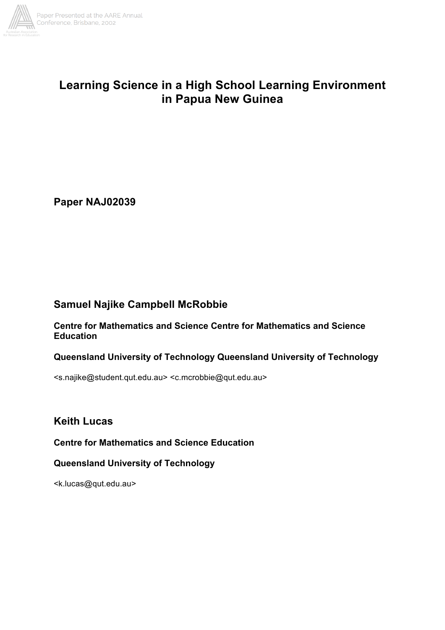

# **Learning Science in a High School Learning Environment in Papua New Guinea**

**Paper NAJ02039**

# **Samuel Najike Campbell McRobbie**

**Centre for Mathematics and Science Centre for Mathematics and Science Education** 

# **Queensland University of Technology Queensland University of Technology**

<s.najike@student.qut.edu.au> <c.mcrobbie@qut.edu.au>

**Keith Lucas**

**Centre for Mathematics and Science Education**

**Queensland University of Technology**

<k.lucas@qut.edu.au>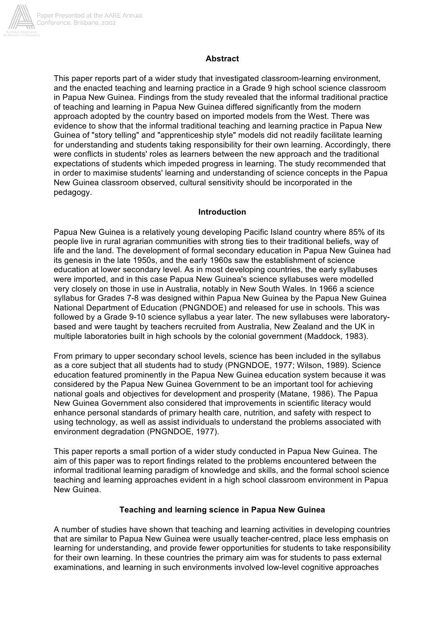

#### **Abstract**

This paper reports part of a wider study that investigated classroom-learning environment, and the enacted teaching and learning practice in a Grade 9 high school science classroom in Papua New Guinea. Findings from the study revealed that the informal traditional practice of teaching and learning in Papua New Guinea differed significantly from the modern approach adopted by the country based on imported models from the West. There was evidence to show that the informal traditional teaching and learning practice in Papua New Guinea of "story telling" and "apprenticeship style" models did not readily facilitate learning for understanding and students taking responsibility for their own learning. Accordingly, there were conflicts in students' roles as learners between the new approach and the traditional expectations of students which impeded progress in learning. The study recommended that in order to maximise students' learning and understanding of science concepts in the Papua New Guinea classroom observed, cultural sensitivity should be incorporated in the pedagogy.

#### **Introduction**

Papua New Guinea is a relatively young developing Pacific Island country where 85% of its people live in rural agrarian communities with strong ties to their traditional beliefs, way of life and the land. The development of formal secondary education in Papua New Guinea had its genesis in the late 1950s, and the early 1960s saw the establishment of science education at lower secondary level. As in most developing countries, the early syllabuses were imported, and in this case Papua New Guinea's science syllabuses were modelled very closely on those in use in Australia, notably in New South Wales. In 1966 a science syllabus for Grades 7-8 was designed within Papua New Guinea by the Papua New Guinea National Department of Education (PNGNDOE) and released for use in schools. This was followed by a Grade 9-10 science syllabus a year later. The new syllabuses were laboratorybased and were taught by teachers recruited from Australia, New Zealand and the UK in multiple laboratories built in high schools by the colonial government (Maddock, 1983).

From primary to upper secondary school levels, science has been included in the syllabus as a core subject that all students had to study (PNGNDOE, 1977; Wilson, 1989). Science education featured prominently in the Papua New Guinea education system because it was considered by the Papua New Guinea Government to be an important tool for achieving national goals and objectives for development and prosperity (Matane, 1986). The Papua New Guinea Government also considered that improvements in scientific literacy would enhance personal standards of primary health care, nutrition, and safety with respect to using technology, as well as assist individuals to understand the problems associated with environment degradation (PNGNDOE, 1977).

This paper reports a small portion of a wider study conducted in Papua New Guinea. The aim of this paper was to report findings related to the problems encountered between the informal traditional learning paradigm of knowledge and skills, and the formal school science teaching and learning approaches evident in a high school classroom environment in Papua New Guinea.

#### **Teaching and learning science in Papua New Guinea**

A number of studies have shown that teaching and learning activities in developing countries that are similar to Papua New Guinea were usually teacher-centred, place less emphasis on learning for understanding, and provide fewer opportunities for students to take responsibility for their own learning. In these countries the primary aim was for students to pass external examinations, and learning in such environments involved low-level cognitive approaches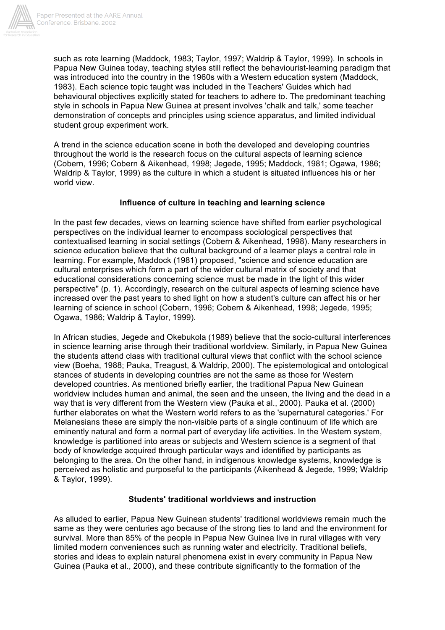

such as rote learning (Maddock, 1983; Taylor, 1997; Waldrip & Taylor, 1999). In schools in Papua New Guinea today, teaching styles still reflect the behaviourist-learning paradigm that was introduced into the country in the 1960s with a Western education system (Maddock, 1983). Each science topic taught was included in the Teachers' Guides which had behavioural objectives explicitly stated for teachers to adhere to. The predominant teaching style in schools in Papua New Guinea at present involves 'chalk and talk,' some teacher demonstration of concepts and principles using science apparatus, and limited individual student group experiment work.

A trend in the science education scene in both the developed and developing countries throughout the world is the research focus on the cultural aspects of learning science (Cobern, 1996; Cobern & Aikenhead, 1998; Jegede, 1995; Maddock, 1981; Ogawa, 1986; Waldrip & Taylor, 1999) as the culture in which a student is situated influences his or her world view.

# **Influence of culture in teaching and learning science**

In the past few decades, views on learning science have shifted from earlier psychological perspectives on the individual learner to encompass sociological perspectives that contextualised learning in social settings (Cobern & Aikenhead, 1998). Many researchers in science education believe that the cultural background of a learner plays a central role in learning. For example, Maddock (1981) proposed, "science and science education are cultural enterprises which form a part of the wider cultural matrix of society and that educational considerations concerning science must be made in the light of this wider perspective" (p. 1). Accordingly, research on the cultural aspects of learning science have increased over the past years to shed light on how a student's culture can affect his or her learning of science in school (Cobern, 1996; Cobern & Aikenhead, 1998; Jegede, 1995; Ogawa, 1986; Waldrip & Taylor, 1999).

In African studies, Jegede and Okebukola (1989) believe that the socio-cultural interferences in science learning arise through their traditional worldview. Similarly, in Papua New Guinea the students attend class with traditional cultural views that conflict with the school science view (Boeha, 1988; Pauka, Treagust, & Waldrip, 2000). The epistemological and ontological stances of students in developing countries are not the same as those for Western developed countries. As mentioned briefly earlier, the traditional Papua New Guinean worldview includes human and animal, the seen and the unseen, the living and the dead in a way that is very different from the Western view (Pauka et al., 2000). Pauka et al. (2000) further elaborates on what the Western world refers to as the 'supernatural categories.' For Melanesians these are simply the non-visible parts of a single continuum of life which are eminently natural and form a normal part of everyday life activities. In the Western system, knowledge is partitioned into areas or subjects and Western science is a segment of that body of knowledge acquired through particular ways and identified by participants as belonging to the area. On the other hand, in indigenous knowledge systems, knowledge is perceived as holistic and purposeful to the participants (Aikenhead & Jegede, 1999; Waldrip & Taylor, 1999).

# **Students' traditional worldviews and instruction**

As alluded to earlier, Papua New Guinean students' traditional worldviews remain much the same as they were centuries ago because of the strong ties to land and the environment for survival. More than 85% of the people in Papua New Guinea live in rural villages with very limited modern conveniences such as running water and electricity. Traditional beliefs, stories and ideas to explain natural phenomena exist in every community in Papua New Guinea (Pauka et al., 2000), and these contribute significantly to the formation of the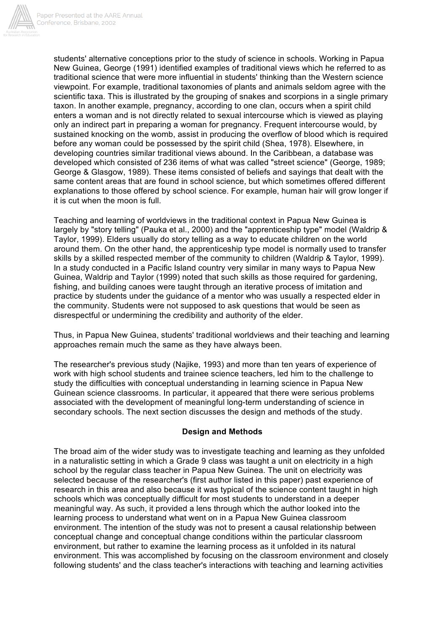

students' alternative conceptions prior to the study of science in schools. Working in Papua New Guinea, George (1991) identified examples of traditional views which he referred to as traditional science that were more influential in students' thinking than the Western science viewpoint. For example, traditional taxonomies of plants and animals seldom agree with the scientific taxa. This is illustrated by the grouping of snakes and scorpions in a single primary taxon. In another example, pregnancy, according to one clan, occurs when a spirit child enters a woman and is not directly related to sexual intercourse which is viewed as playing only an indirect part in preparing a woman for pregnancy. Frequent intercourse would, by sustained knocking on the womb, assist in producing the overflow of blood which is required before any woman could be possessed by the spirit child (Shea, 1978). Elsewhere, in developing countries similar traditional views abound. In the Caribbean, a database was developed which consisted of 236 items of what was called "street science" (George, 1989; George & Glasgow, 1989). These items consisted of beliefs and sayings that dealt with the same content areas that are found in school science, but which sometimes offered different explanations to those offered by school science. For example, human hair will grow longer if it is cut when the moon is full.

Teaching and learning of worldviews in the traditional context in Papua New Guinea is largely by "story telling" (Pauka et al., 2000) and the "apprenticeship type" model (Waldrip & Taylor, 1999). Elders usually do story telling as a way to educate children on the world around them. On the other hand, the apprenticeship type model is normally used to transfer skills by a skilled respected member of the community to children (Waldrip & Taylor, 1999). In a study conducted in a Pacific Island country very similar in many ways to Papua New Guinea, Waldrip and Taylor (1999) noted that such skills as those required for gardening, fishing, and building canoes were taught through an iterative process of imitation and practice by students under the guidance of a mentor who was usually a respected elder in the community. Students were not supposed to ask questions that would be seen as disrespectful or undermining the credibility and authority of the elder.

Thus, in Papua New Guinea, students' traditional worldviews and their teaching and learning approaches remain much the same as they have always been.

The researcher's previous study (Najike, 1993) and more than ten years of experience of work with high school students and trainee science teachers, led him to the challenge to study the difficulties with conceptual understanding in learning science in Papua New Guinean science classrooms. In particular, it appeared that there were serious problems associated with the development of meaningful long-term understanding of science in secondary schools. The next section discusses the design and methods of the study.

## **Design and Methods**

The broad aim of the wider study was to investigate teaching and learning as they unfolded in a naturalistic setting in which a Grade 9 class was taught a unit on electricity in a high school by the regular class teacher in Papua New Guinea. The unit on electricity was selected because of the researcher's (first author listed in this paper) past experience of research in this area and also because it was typical of the science content taught in high schools which was conceptually difficult for most students to understand in a deeper meaningful way. As such, it provided a lens through which the author looked into the learning process to understand what went on in a Papua New Guinea classroom environment. The intention of the study was not to present a causal relationship between conceptual change and conceptual change conditions within the particular classroom environment, but rather to examine the learning process as it unfolded in its natural environment. This was accomplished by focusing on the classroom environment and closely following students' and the class teacher's interactions with teaching and learning activities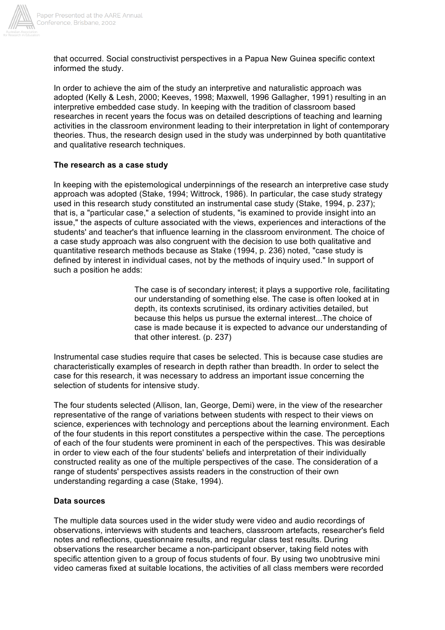

that occurred. Social constructivist perspectives in a Papua New Guinea specific context informed the study.

In order to achieve the aim of the study an interpretive and naturalistic approach was adopted (Kelly & Lesh, 2000; Keeves, 1998; Maxwell, 1996 Gallagher, 1991) resulting in an interpretive embedded case study. In keeping with the tradition of classroom based researches in recent years the focus was on detailed descriptions of teaching and learning activities in the classroom environment leading to their interpretation in light of contemporary theories. Thus, the research design used in the study was underpinned by both quantitative and qualitative research techniques.

#### **The research as a case study**

In keeping with the epistemological underpinnings of the research an interpretive case study approach was adopted (Stake, 1994; Wittrock, 1986). In particular, the case study strategy used in this research study constituted an instrumental case study (Stake, 1994, p. 237); that is, a "particular case," a selection of students, "is examined to provide insight into an issue," the aspects of culture associated with the views, experiences and interactions of the students' and teacher's that influence learning in the classroom environment. The choice of a case study approach was also congruent with the decision to use both qualitative and quantitative research methods because as Stake (1994, p. 236) noted, "case study is defined by interest in individual cases, not by the methods of inquiry used." In support of such a position he adds:

> The case is of secondary interest; it plays a supportive role, facilitating our understanding of something else. The case is often looked at in depth, its contexts scrutinised, its ordinary activities detailed, but because this helps us pursue the external interest...The choice of case is made because it is expected to advance our understanding of that other interest. (p. 237)

Instrumental case studies require that cases be selected. This is because case studies are characteristically examples of research in depth rather than breadth. In order to select the case for this research, it was necessary to address an important issue concerning the selection of students for intensive study.

The four students selected (Allison, Ian, George, Demi) were, in the view of the researcher representative of the range of variations between students with respect to their views on science, experiences with technology and perceptions about the learning environment. Each of the four students in this report constitutes a perspective within the case. The perceptions of each of the four students were prominent in each of the perspectives. This was desirable in order to view each of the four students' beliefs and interpretation of their individually constructed reality as one of the multiple perspectives of the case. The consideration of a range of students' perspectives assists readers in the construction of their own understanding regarding a case (Stake, 1994).

#### **Data sources**

The multiple data sources used in the wider study were video and audio recordings of observations, interviews with students and teachers, classroom artefacts, researcher's field notes and reflections, questionnaire results, and regular class test results. During observations the researcher became a non-participant observer, taking field notes with specific attention given to a group of focus students of four. By using two unobtrusive mini video cameras fixed at suitable locations, the activities of all class members were recorded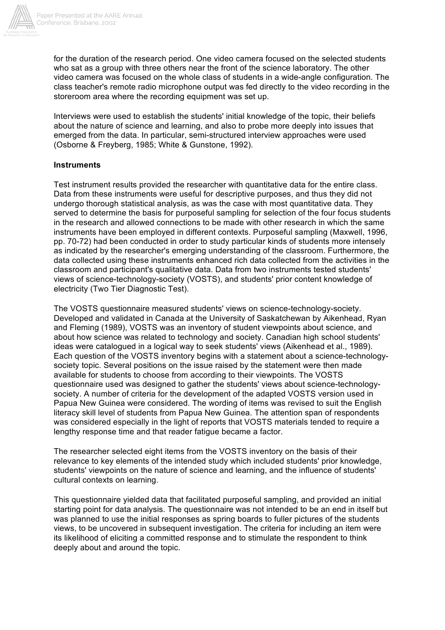

for the duration of the research period. One video camera focused on the selected students who sat as a group with three others near the front of the science laboratory. The other video camera was focused on the whole class of students in a wide-angle configuration. The class teacher's remote radio microphone output was fed directly to the video recording in the storeroom area where the recording equipment was set up.

Interviews were used to establish the students' initial knowledge of the topic, their beliefs about the nature of science and learning, and also to probe more deeply into issues that emerged from the data. In particular, semi-structured interview approaches were used (Osborne & Freyberg, 1985; White & Gunstone, 1992).

## **Instruments**

Test instrument results provided the researcher with quantitative data for the entire class. Data from these instruments were useful for descriptive purposes, and thus they did not undergo thorough statistical analysis, as was the case with most quantitative data. They served to determine the basis for purposeful sampling for selection of the four focus students in the research and allowed connections to be made with other research in which the same instruments have been employed in different contexts. Purposeful sampling (Maxwell, 1996, pp. 70-72) had been conducted in order to study particular kinds of students more intensely as indicated by the researcher's emerging understanding of the classroom. Furthermore, the data collected using these instruments enhanced rich data collected from the activities in the classroom and participant's qualitative data. Data from two instruments tested students' views of science-technology-society (VOSTS), and students' prior content knowledge of electricity (Two Tier Diagnostic Test).

The VOSTS questionnaire measured students' views on science-technology-society. Developed and validated in Canada at the University of Saskatchewan by Aikenhead, Ryan and Fleming (1989), VOSTS was an inventory of student viewpoints about science, and about how science was related to technology and society. Canadian high school students' ideas were catalogued in a logical way to seek students' views (Aikenhead et al., 1989). Each question of the VOSTS inventory begins with a statement about a science-technologysociety topic. Several positions on the issue raised by the statement were then made available for students to choose from according to their viewpoints. The VOSTS questionnaire used was designed to gather the students' views about science-technologysociety. A number of criteria for the development of the adapted VOSTS version used in Papua New Guinea were considered. The wording of items was revised to suit the English literacy skill level of students from Papua New Guinea. The attention span of respondents was considered especially in the light of reports that VOSTS materials tended to require a lengthy response time and that reader fatigue became a factor.

The researcher selected eight items from the VOSTS inventory on the basis of their relevance to key elements of the intended study which included students' prior knowledge, students' viewpoints on the nature of science and learning, and the influence of students' cultural contexts on learning.

This questionnaire yielded data that facilitated purposeful sampling, and provided an initial starting point for data analysis. The questionnaire was not intended to be an end in itself but was planned to use the initial responses as spring boards to fuller pictures of the students views, to be uncovered in subsequent investigation. The criteria for including an item were its likelihood of eliciting a committed response and to stimulate the respondent to think deeply about and around the topic.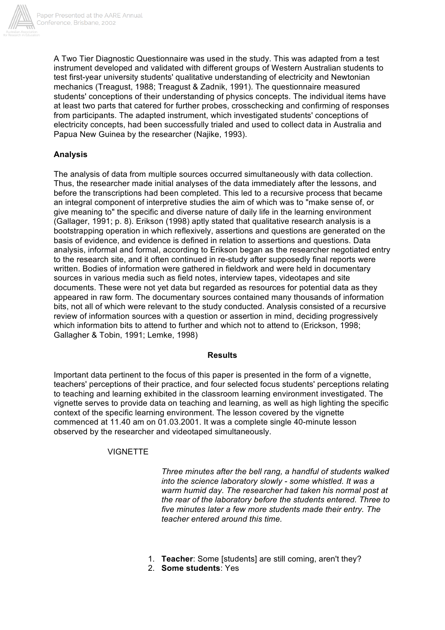

A Two Tier Diagnostic Questionnaire was used in the study. This was adapted from a test instrument developed and validated with different groups of Western Australian students to test first-year university students' qualitative understanding of electricity and Newtonian mechanics (Treagust, 1988; Treagust & Zadnik, 1991). The questionnaire measured students' conceptions of their understanding of physics concepts. The individual items have at least two parts that catered for further probes, crosschecking and confirming of responses from participants. The adapted instrument, which investigated students' conceptions of electricity concepts, had been successfully trialed and used to collect data in Australia and Papua New Guinea by the researcher (Najike, 1993).

# **Analysis**

The analysis of data from multiple sources occurred simultaneously with data collection. Thus, the researcher made initial analyses of the data immediately after the lessons, and before the transcriptions had been completed. This led to a recursive process that became an integral component of interpretive studies the aim of which was to "make sense of, or give meaning to" the specific and diverse nature of daily life in the learning environment (Gallager, 1991; p. 8). Erikson (1998) aptly stated that qualitative research analysis is a bootstrapping operation in which reflexively, assertions and questions are generated on the basis of evidence, and evidence is defined in relation to assertions and questions. Data analysis, informal and formal, according to Erikson began as the researcher negotiated entry to the research site, and it often continued in re-study after supposedly final reports were written. Bodies of information were gathered in fieldwork and were held in documentary sources in various media such as field notes, interview tapes, videotapes and site documents. These were not yet data but regarded as resources for potential data as they appeared in raw form. The documentary sources contained many thousands of information bits, not all of which were relevant to the study conducted. Analysis consisted of a recursive review of information sources with a question or assertion in mind, deciding progressively which information bits to attend to further and which not to attend to (Erickson, 1998; Gallagher & Tobin, 1991; Lemke, 1998)

## **Results**

Important data pertinent to the focus of this paper is presented in the form of a vignette, teachers' perceptions of their practice, and four selected focus students' perceptions relating to teaching and learning exhibited in the classroom learning environment investigated. The vignette serves to provide data on teaching and learning, as well as high lighting the specific context of the specific learning environment. The lesson covered by the vignette commenced at 11.40 am on 01.03.2001. It was a complete single 40-minute lesson observed by the researcher and videotaped simultaneously.

## VIGNETTE

*Three minutes after the bell rang, a handful of students walked into the science laboratory slowly - some whistled. It was a warm humid day. The researcher had taken his normal post at the rear of the laboratory before the students entered. Three to five minutes later a few more students made their entry. The teacher entered around this time.*

- 1. **Teacher**: Some [students] are still coming, aren't they?
- 2. **Some students**: Yes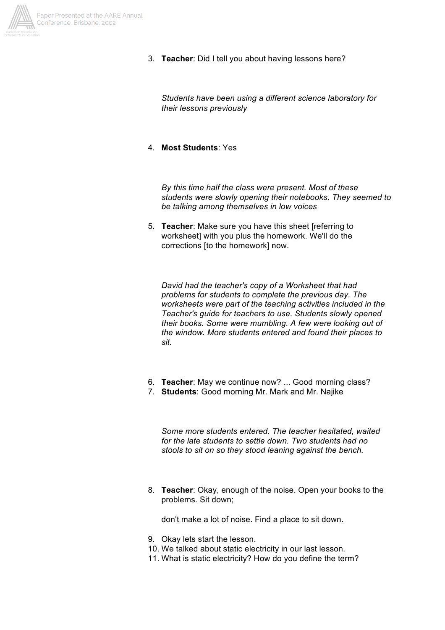

3. **Teacher**: Did I tell you about having lessons here?

*Students have been using a different science laboratory for their lessons previously*

4. **Most Students**: Yes

*By this time half the class were present. Most of these students were slowly opening their notebooks. They seemed to be talking among themselves in low voices*

5. **Teacher**: Make sure you have this sheet [referring to worksheet] with you plus the homework. We'll do the corrections [to the homework] now.

*David had the teacher's copy of a Worksheet that had problems for students to complete the previous day. The worksheets were part of the teaching activities included in the Teacher's guide for teachers to use. Students slowly opened their books. Some were mumbling. A few were looking out of the window. More students entered and found their places to sit.*

- 6. **Teacher**: May we continue now? ... Good morning class?
- 7. **Students**: Good morning Mr. Mark and Mr. Najike

*Some more students entered. The teacher hesitated, waited for the late students to settle down. Two students had no stools to sit on so they stood leaning against the bench.*

8. **Teacher**: Okay, enough of the noise. Open your books to the problems. Sit down;

don't make a lot of noise. Find a place to sit down.

- 9. Okay lets start the lesson.
- 10. We talked about static electricity in our last lesson.
- 11. What is static electricity? How do you define the term?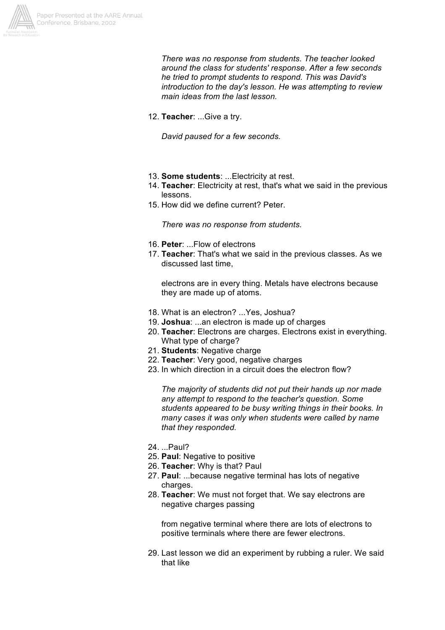

*There was no response from students. The teacher looked around the class for students' response. After a few seconds he tried to prompt students to respond. This was David's introduction to the day's lesson. He was attempting to review main ideas from the last lesson.*

12. **Teacher**: ...Give a try.

*David paused for a few seconds.*

- 13. **Some students**: ...Electricity at rest.
- 14. **Teacher**: Electricity at rest, that's what we said in the previous lessons.
- 15. How did we define current? Peter.

*There was no response from students.*

- 16. **Peter**: ...Flow of electrons
- 17. **Teacher**: That's what we said in the previous classes. As we discussed last time,

electrons are in every thing. Metals have electrons because they are made up of atoms.

- 18. What is an electron? ...Yes, Joshua?
- 19. **Joshua**: ...an electron is made up of charges
- 20. **Teacher**: Electrons are charges. Electrons exist in everything. What type of charge?
- 21. **Students**: Negative charge
- 22. **Teacher**: Very good, negative charges
- 23. In which direction in a circuit does the electron flow?

*The majority of students did not put their hands up nor made any attempt to respond to the teacher's question. Some students appeared to be busy writing things in their books. In many cases it was only when students were called by name that they responded.*

- 24. ...Paul?
- 25. **Paul**: Negative to positive
- 26. **Teacher**: Why is that? Paul
- 27. **Paul**: ...because negative terminal has lots of negative charges.
- 28. **Teacher**: We must not forget that. We say electrons are negative charges passing

from negative terminal where there are lots of electrons to positive terminals where there are fewer electrons.

29. Last lesson we did an experiment by rubbing a ruler. We said that like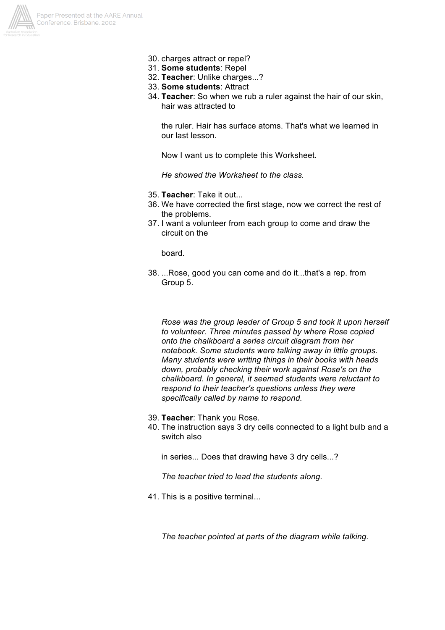

- 30. charges attract or repel?
- 31. **Some students**: Repel
- 32. **Teacher**: Unlike charges...?
- 33. **Some students**: Attract
- 34. **Teacher**: So when we rub a ruler against the hair of our skin, hair was attracted to

the ruler. Hair has surface atoms. That's what we learned in our last lesson.

Now I want us to complete this Worksheet.

*He showed the Worksheet to the class.*

- 35. **Teacher**: Take it out...
- 36. We have corrected the first stage, now we correct the rest of the problems.
- 37. I want a volunteer from each group to come and draw the circuit on the

board.

38. ...Rose, good you can come and do it...that's a rep. from Group 5.

*Rose was the group leader of Group 5 and took it upon herself to volunteer. Three minutes passed by where Rose copied onto the chalkboard a series circuit diagram from her notebook. Some students were talking away in little groups. Many students were writing things in their books with heads down, probably checking their work against Rose's on the chalkboard. In general, it seemed students were reluctant to respond to their teacher's questions unless they were specifically called by name to respond.*

- 39. **Teacher**: Thank you Rose.
- 40. The instruction says 3 dry cells connected to a light bulb and a switch also

in series... Does that drawing have 3 dry cells...?

*The teacher tried to lead the students along.*

41. This is a positive terminal...

*The teacher pointed at parts of the diagram while talking.*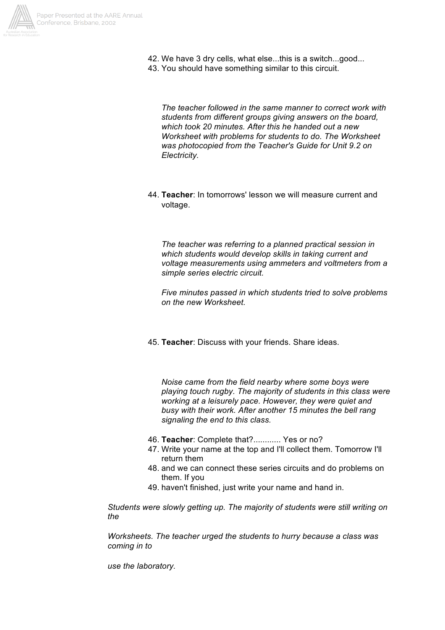

- 42. We have 3 dry cells, what else...this is a switch...good...
- 43. You should have something similar to this circuit.

*The teacher followed in the same manner to correct work with students from different groups giving answers on the board, which took 20 minutes. After this he handed out a new Worksheet with problems for students to do. The Worksheet was photocopied from the Teacher's Guide for Unit 9.2 on Electricity.*

44. **Teacher**: In tomorrows' lesson we will measure current and voltage.

*The teacher was referring to a planned practical session in which students would develop skills in taking current and voltage measurements using ammeters and voltmeters from a simple series electric circuit.*

*Five minutes passed in which students tried to solve problems on the new Worksheet.*

45. **Teacher**: Discuss with your friends. Share ideas.

*Noise came from the field nearby where some boys were playing touch rugby. The majority of students in this class were working at a leisurely pace. However, they were quiet and busy with their work. After another 15 minutes the bell rang signaling the end to this class.*

- 46. **Teacher**: Complete that?............ Yes or no?
- 47. Write your name at the top and I'll collect them. Tomorrow I'll return them
- 48. and we can connect these series circuits and do problems on them. If you
- 49. haven't finished, just write your name and hand in.

*Students were slowly getting up. The majority of students were still writing on the*

*Worksheets. The teacher urged the students to hurry because a class was coming in to*

*use the laboratory.*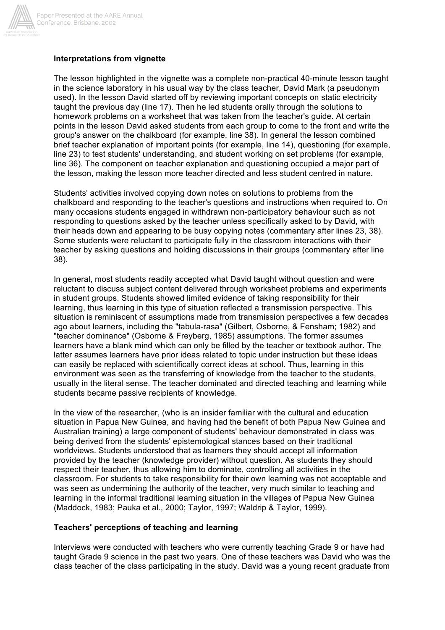

## **Interpretations from vignette**

The lesson highlighted in the vignette was a complete non-practical 40-minute lesson taught in the science laboratory in his usual way by the class teacher, David Mark (a pseudonym used). In the lesson David started off by reviewing important concepts on static electricity taught the previous day (line 17). Then he led students orally through the solutions to homework problems on a worksheet that was taken from the teacher's guide. At certain points in the lesson David asked students from each group to come to the front and write the group's answer on the chalkboard (for example, line 38). In general the lesson combined brief teacher explanation of important points (for example, line 14), questioning (for example, line 23) to test students' understanding, and student working on set problems (for example, line 36). The component on teacher explanation and questioning occupied a major part of the lesson, making the lesson more teacher directed and less student centred in nature.

Students' activities involved copying down notes on solutions to problems from the chalkboard and responding to the teacher's questions and instructions when required to. On many occasions students engaged in withdrawn non-participatory behaviour such as not responding to questions asked by the teacher unless specifically asked to by David, with their heads down and appearing to be busy copying notes (commentary after lines 23, 38). Some students were reluctant to participate fully in the classroom interactions with their teacher by asking questions and holding discussions in their groups (commentary after line 38).

In general, most students readily accepted what David taught without question and were reluctant to discuss subject content delivered through worksheet problems and experiments in student groups. Students showed limited evidence of taking responsibility for their learning, thus learning in this type of situation reflected a transmission perspective. This situation is reminiscent of assumptions made from transmission perspectives a few decades ago about learners, including the "tabula-rasa" (Gilbert, Osborne, & Fensham; 1982) and "teacher dominance" (Osborne & Freyberg, 1985) assumptions. The former assumes learners have a blank mind which can only be filled by the teacher or textbook author. The latter assumes learners have prior ideas related to topic under instruction but these ideas can easily be replaced with scientifically correct ideas at school. Thus, learning in this environment was seen as the transferring of knowledge from the teacher to the students, usually in the literal sense. The teacher dominated and directed teaching and learning while students became passive recipients of knowledge.

In the view of the researcher, (who is an insider familiar with the cultural and education situation in Papua New Guinea, and having had the benefit of both Papua New Guinea and Australian training) a large component of students' behaviour demonstrated in class was being derived from the students' epistemological stances based on their traditional worldviews. Students understood that as learners they should accept all information provided by the teacher (knowledge provider) without question. As students they should respect their teacher, thus allowing him to dominate, controlling all activities in the classroom. For students to take responsibility for their own learning was not acceptable and was seen as undermining the authority of the teacher, very much similar to teaching and learning in the informal traditional learning situation in the villages of Papua New Guinea (Maddock, 1983; Pauka et al., 2000; Taylor, 1997; Waldrip & Taylor, 1999).

#### **Teachers' perceptions of teaching and learning**

Interviews were conducted with teachers who were currently teaching Grade 9 or have had taught Grade 9 science in the past two years. One of these teachers was David who was the class teacher of the class participating in the study. David was a young recent graduate from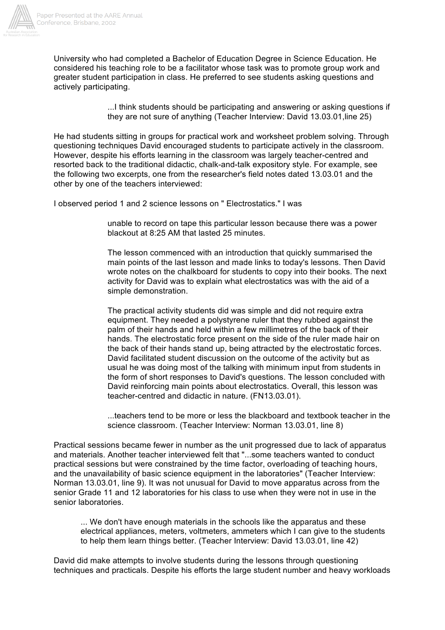

University who had completed a Bachelor of Education Degree in Science Education. He considered his teaching role to be a facilitator whose task was to promote group work and greater student participation in class. He preferred to see students asking questions and actively participating.

> ...I think students should be participating and answering or asking questions if they are not sure of anything (Teacher Interview: David 13.03.01,line 25)

He had students sitting in groups for practical work and worksheet problem solving. Through questioning techniques David encouraged students to participate actively in the classroom. However, despite his efforts learning in the classroom was largely teacher-centred and resorted back to the traditional didactic, chalk-and-talk expository style. For example, see the following two excerpts, one from the researcher's field notes dated 13.03.01 and the other by one of the teachers interviewed:

I observed period 1 and 2 science lessons on " Electrostatics." I was

unable to record on tape this particular lesson because there was a power blackout at 8:25 AM that lasted 25 minutes.

The lesson commenced with an introduction that quickly summarised the main points of the last lesson and made links to today's lessons. Then David wrote notes on the chalkboard for students to copy into their books. The next activity for David was to explain what electrostatics was with the aid of a simple demonstration.

The practical activity students did was simple and did not require extra equipment. They needed a polystyrene ruler that they rubbed against the palm of their hands and held within a few millimetres of the back of their hands. The electrostatic force present on the side of the ruler made hair on the back of their hands stand up, being attracted by the electrostatic forces. David facilitated student discussion on the outcome of the activity but as usual he was doing most of the talking with minimum input from students in the form of short responses to David's questions. The lesson concluded with David reinforcing main points about electrostatics. Overall, this lesson was teacher-centred and didactic in nature. (FN13.03.01).

...teachers tend to be more or less the blackboard and textbook teacher in the science classroom. (Teacher Interview: Norman 13.03.01, line 8)

Practical sessions became fewer in number as the unit progressed due to lack of apparatus and materials. Another teacher interviewed felt that "...some teachers wanted to conduct practical sessions but were constrained by the time factor, overloading of teaching hours, and the unavailability of basic science equipment in the laboratories" (Teacher Interview: Norman 13.03.01, line 9). It was not unusual for David to move apparatus across from the senior Grade 11 and 12 laboratories for his class to use when they were not in use in the senior laboratories.

... We don't have enough materials in the schools like the apparatus and these electrical appliances, meters, voltmeters, ammeters which I can give to the students to help them learn things better. (Teacher Interview: David 13.03.01, line 42)

David did make attempts to involve students during the lessons through questioning techniques and practicals. Despite his efforts the large student number and heavy workloads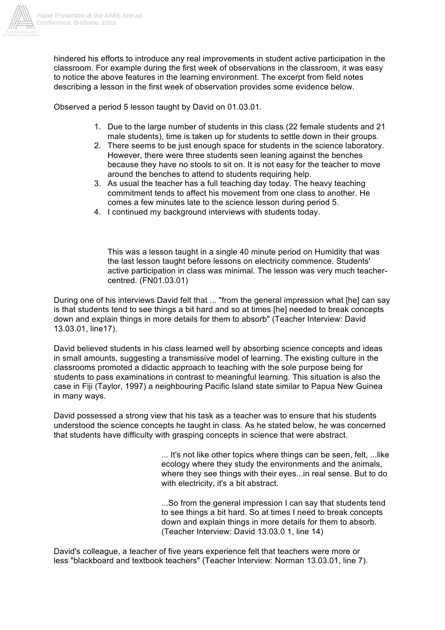

hindered his efforts to introduce any real improvements in student active participation in the classroom. For example during the first week of observations in the classroom, it was easy to notice the above features in the learning environment. The excerpt from field notes describing a lesson in the first week of observation provides some evidence below.

Observed a period 5 lesson taught by David on 01.03.01.

- 1. Due to the large number of students in this class (22 female students and 21 male students), time is taken up for students to settle down in their groups.
- 2. There seems to be just enough space for students in the science laboratory. However, there were three students seen leaning against the benches because they have no stools to sit on. It is not easy for the teacher to move around the benches to attend to students requiring help.
- 3. As usual the teacher has a full teaching day today. The heavy teaching commitment tends to affect his movement from one class to another. He comes a few minutes late to the science lesson during period 5.
- 4. I continued my background interviews with students today.

This was a lesson taught in a single 40 minute period on Humidity that was the last lesson taught before lessons on electricity commence. Students' active participation in class was minimal. The lesson was very much teachercentred. (FN01.03.01)

During one of his interviews David felt that ... "from the general impression what [he] can say is that students tend to see things a bit hard and so at times [he] needed to break concepts down and explain things in more details for them to absorb" (Teacher Interview: David 13.03.01, line17).

David believed students in his class learned well by absorbing science concepts and ideas in small amounts, suggesting a transmissive model of learning. The existing culture in the classrooms promoted a didactic approach to teaching with the sole purpose being for students to pass examinations in contrast to meaningful learning. This situation is also the case in Fiji (Taylor, 1997) a neighbouring Pacific Island state similar to Papua New Guinea in many ways.

David possessed a strong view that his task as a teacher was to ensure that his students understood the science concepts he taught in class. As he stated below, he was concerned that students have difficulty with grasping concepts in science that were abstract.

> ... It's not like other topics where things can be seen, felt, ...like ecology where they study the environments and the animals, where they see things with their eyes...in real sense. But to do with electricity, it's a bit abstract.

...So from the general impression I can say that students tend to see things a bit hard. So at times I need to break concepts down and explain things in more details for them to absorb. (Teacher Interview: David 13.03.0 1, line 14)

David's colleague, a teacher of five years experience felt that teachers were more or less "blackboard and textbook teachers" (Teacher Interview: Norman 13.03.01, line 7).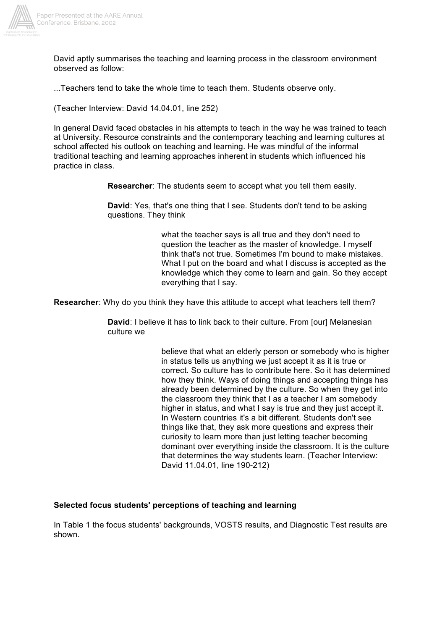

David aptly summarises the teaching and learning process in the classroom environment observed as follow:

...Teachers tend to take the whole time to teach them. Students observe only.

(Teacher Interview: David 14.04.01, line 252)

In general David faced obstacles in his attempts to teach in the way he was trained to teach at University. Resource constraints and the contemporary teaching and learning cultures at school affected his outlook on teaching and learning. He was mindful of the informal traditional teaching and learning approaches inherent in students which influenced his practice in class.

**Researcher**: The students seem to accept what you tell them easily.

**David**: Yes, that's one thing that I see. Students don't tend to be asking questions. They think

> what the teacher says is all true and they don't need to question the teacher as the master of knowledge. I myself think that's not true. Sometimes I'm bound to make mistakes. What I put on the board and what I discuss is accepted as the knowledge which they come to learn and gain. So they accept everything that I say.

**Researcher**: Why do you think they have this attitude to accept what teachers tell them?

**David**: I believe it has to link back to their culture. From [our] Melanesian culture we

> believe that what an elderly person or somebody who is higher in status tells us anything we just accept it as it is true or correct. So culture has to contribute here. So it has determined how they think. Ways of doing things and accepting things has already been determined by the culture. So when they get into the classroom they think that I as a teacher I am somebody higher in status, and what I say is true and they just accept it. In Western countries it's a bit different. Students don't see things like that, they ask more questions and express their curiosity to learn more than just letting teacher becoming dominant over everything inside the classroom. It is the culture that determines the way students learn. (Teacher Interview: David 11.04.01, line 190-212)

## **Selected focus students' perceptions of teaching and learning**

In Table 1 the focus students' backgrounds, VOSTS results, and Diagnostic Test results are shown.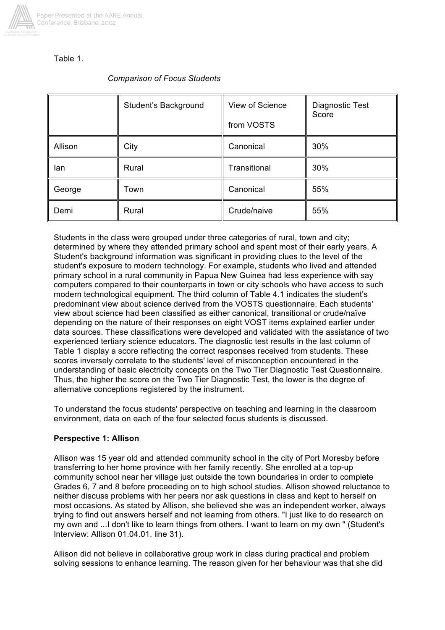

# Table 1.

# *Comparison of Focus Students*

|         | Student's Background | View of Science<br>from VOSTS | Diagnostic Test<br>Score |
|---------|----------------------|-------------------------------|--------------------------|
| Allison | City                 | Canonical                     | 30%                      |
| lan     | Rural                | Transitional                  | 30%                      |
| George  | Town                 | Canonical                     | 55%                      |
| Demi    | Rural                | Crude/naive                   | 55%                      |

Students in the class were grouped under three categories of rural, town and city; determined by where they attended primary school and spent most of their early years. A Student's background information was significant in providing clues to the level of the student's exposure to modern technology. For example, students who lived and attended primary school in a rural community in Papua New Guinea had less experience with say computers compared to their counterparts in town or city schools who have access to such modern technological equipment. The third column of Table 4.1 indicates the student's predominant view about science derived from the VOSTS questionnaire. Each students' view about science had been classified as either canonical, transitional or crude/naïve depending on the nature of their responses on eight VOST items explained earlier under data sources. These classifications were developed and validated with the assistance of two experienced tertiary science educators. The diagnostic test results in the last column of Table 1 display a score reflecting the correct responses received from students. These scores inversely correlate to the students' level of misconception encountered in the understanding of basic electricity concepts on the Two Tier Diagnostic Test Questionnaire. Thus, the higher the score on the Two Tier Diagnostic Test, the lower is the degree of alternative conceptions registered by the instrument.

To understand the focus students' perspective on teaching and learning in the classroom environment, data on each of the four selected focus students is discussed.

## **Perspective 1: Allison**

Allison was 15 year old and attended community school in the city of Port Moresby before transferring to her home province with her family recently. She enrolled at a top-up community school near her village just outside the town boundaries in order to complete Grades 6, 7 and 8 before proceeding on to high school studies. Allison showed reluctance to neither discuss problems with her peers nor ask questions in class and kept to herself on most occasions. As stated by Allison, she believed she was an independent worker, always trying to find out answers herself and not learning from others. "I just like to do research on my own and ...I don't like to learn things from others. I want to learn on my own " (Student's Interview: Allison 01.04.01, line 31).

Allison did not believe in collaborative group work in class during practical and problem solving sessions to enhance learning. The reason given for her behaviour was that she did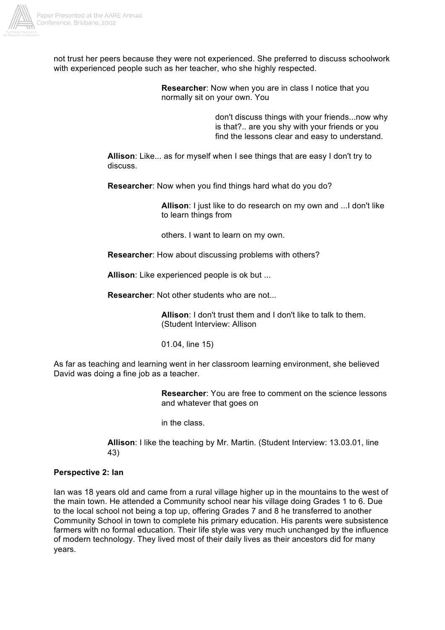

not trust her peers because they were not experienced. She preferred to discuss schoolwork with experienced people such as her teacher, who she highly respected.

> **Researcher**: Now when you are in class I notice that you normally sit on your own. You

> > don't discuss things with your friends...now why is that?.. are you shy with your friends or you find the lessons clear and easy to understand.

**Allison**: Like... as for myself when I see things that are easy I don't try to discuss.

**Researcher**: Now when you find things hard what do you do?

**Allison**: I just like to do research on my own and ...I don't like to learn things from

others. I want to learn on my own.

**Researcher**: How about discussing problems with others?

**Allison**: Like experienced people is ok but ...

**Researcher**: Not other students who are not...

**Allison**: I don't trust them and I don't like to talk to them. (Student Interview: Allison

01.04, line 15)

As far as teaching and learning went in her classroom learning environment, she believed David was doing a fine job as a teacher.

> **Researcher**: You are free to comment on the science lessons and whatever that goes on

in the class.

**Allison**: I like the teaching by Mr. Martin. (Student Interview: 13.03.01, line 43)

#### **Perspective 2: Ian**

Ian was 18 years old and came from a rural village higher up in the mountains to the west of the main town. He attended a Community school near his village doing Grades 1 to 6. Due to the local school not being a top up, offering Grades 7 and 8 he transferred to another Community School in town to complete his primary education. His parents were subsistence farmers with no formal education. Their life style was very much unchanged by the influence of modern technology. They lived most of their daily lives as their ancestors did for many years.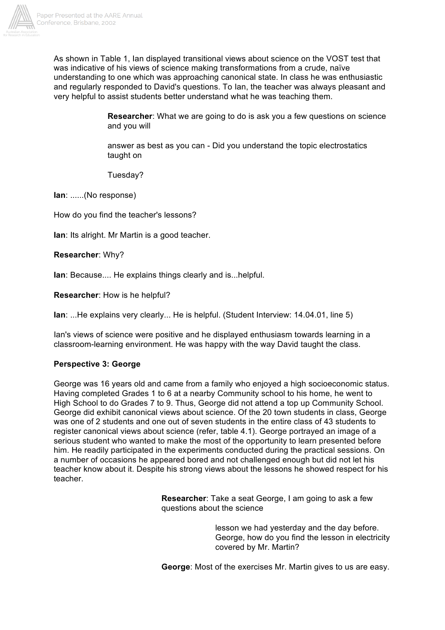

As shown in Table 1, Ian displayed transitional views about science on the VOST test that was indicative of his views of science making transformations from a crude, naïve understanding to one which was approaching canonical state. In class he was enthusiastic and regularly responded to David's questions. To Ian, the teacher was always pleasant and very helpful to assist students better understand what he was teaching them.

> **Researcher**: What we are going to do is ask you a few questions on science and you will

answer as best as you can - Did you understand the topic electrostatics taught on

Tuesday?

**Ian**: ......(No response)

How do you find the teacher's lessons?

**Ian**: Its alright. Mr Martin is a good teacher.

**Researcher**: Why?

**Ian**: Because.... He explains things clearly and is...helpful.

**Researcher**: How is he helpful?

**Ian**: ...He explains very clearly... He is helpful. (Student Interview: 14.04.01, line 5)

Ian's views of science were positive and he displayed enthusiasm towards learning in a classroom-learning environment. He was happy with the way David taught the class.

## **Perspective 3: George**

George was 16 years old and came from a family who enjoyed a high socioeconomic status. Having completed Grades 1 to 6 at a nearby Community school to his home, he went to High School to do Grades 7 to 9. Thus, George did not attend a top up Community School. George did exhibit canonical views about science. Of the 20 town students in class, George was one of 2 students and one out of seven students in the entire class of 43 students to register canonical views about science (refer, table 4.1). George portrayed an image of a serious student who wanted to make the most of the opportunity to learn presented before him. He readily participated in the experiments conducted during the practical sessions. On a number of occasions he appeared bored and not challenged enough but did not let his teacher know about it. Despite his strong views about the lessons he showed respect for his teacher.

> **Researcher**: Take a seat George, I am going to ask a few questions about the science

> > lesson we had yesterday and the day before. George, how do you find the lesson in electricity covered by Mr. Martin?

**George**: Most of the exercises Mr. Martin gives to us are easy.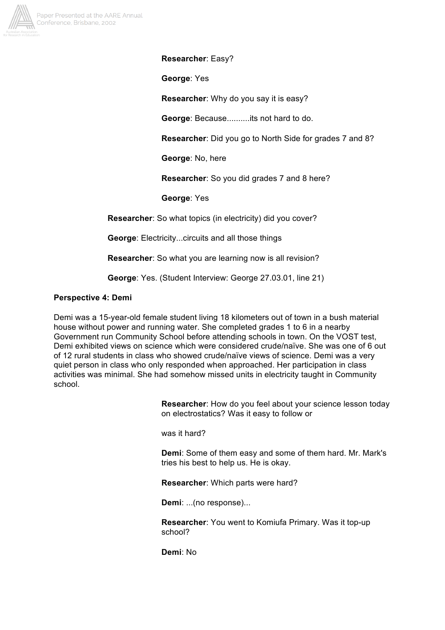

**Researcher**: Easy?

**George**: Yes

**Researcher**: Why do you say it is easy?

**George**: Because..........its not hard to do.

**Researcher**: Did you go to North Side for grades 7 and 8?

**George**: No, here

**Researcher**: So you did grades 7 and 8 here?

**George**: Yes

**Researcher**: So what topics (in electricity) did you cover?

**George**: Electricity...circuits and all those things

**Researcher**: So what you are learning now is all revision?

**George**: Yes. (Student Interview: George 27.03.01, line 21)

#### **Perspective 4: Demi**

Demi was a 15-year-old female student living 18 kilometers out of town in a bush material house without power and running water. She completed grades 1 to 6 in a nearby Government run Community School before attending schools in town. On the VOST test, Demi exhibited views on science which were considered crude/naïve. She was one of 6 out of 12 rural students in class who showed crude/naïve views of science. Demi was a very quiet person in class who only responded when approached. Her participation in class activities was minimal. She had somehow missed units in electricity taught in Community school.

> **Researcher**: How do you feel about your science lesson today on electrostatics? Was it easy to follow or

was it hard?

**Demi**: Some of them easy and some of them hard. Mr. Mark's tries his best to help us. He is okay.

**Researcher**: Which parts were hard?

**Demi**: ...(no response)...

**Researcher**: You went to Komiufa Primary. Was it top-up school?

**Demi**: No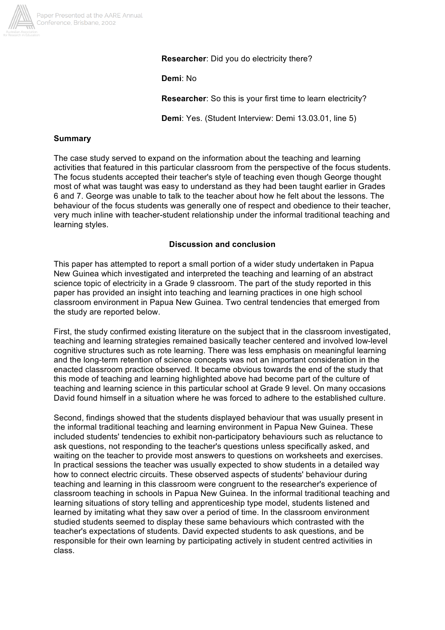

**Researcher**: Did you do electricity there?

**Demi**: No

**Researcher**: So this is your first time to learn electricity?

**Demi**: Yes. (Student Interview: Demi 13.03.01, line 5)

# **Summary**

The case study served to expand on the information about the teaching and learning activities that featured in this particular classroom from the perspective of the focus students. The focus students accepted their teacher's style of teaching even though George thought most of what was taught was easy to understand as they had been taught earlier in Grades 6 and 7. George was unable to talk to the teacher about how he felt about the lessons. The behaviour of the focus students was generally one of respect and obedience to their teacher, very much inline with teacher-student relationship under the informal traditional teaching and learning styles.

# **Discussion and conclusion**

This paper has attempted to report a small portion of a wider study undertaken in Papua New Guinea which investigated and interpreted the teaching and learning of an abstract science topic of electricity in a Grade 9 classroom. The part of the study reported in this paper has provided an insight into teaching and learning practices in one high school classroom environment in Papua New Guinea. Two central tendencies that emerged from the study are reported below.

First, the study confirmed existing literature on the subject that in the classroom investigated, teaching and learning strategies remained basically teacher centered and involved low-level cognitive structures such as rote learning. There was less emphasis on meaningful learning and the long-term retention of science concepts was not an important consideration in the enacted classroom practice observed. It became obvious towards the end of the study that this mode of teaching and learning highlighted above had become part of the culture of teaching and learning science in this particular school at Grade 9 level. On many occasions David found himself in a situation where he was forced to adhere to the established culture.

Second, findings showed that the students displayed behaviour that was usually present in the informal traditional teaching and learning environment in Papua New Guinea. These included students' tendencies to exhibit non-participatory behaviours such as reluctance to ask questions, not responding to the teacher's questions unless specifically asked, and waiting on the teacher to provide most answers to questions on worksheets and exercises. In practical sessions the teacher was usually expected to show students in a detailed way how to connect electric circuits. These observed aspects of students' behaviour during teaching and learning in this classroom were congruent to the researcher's experience of classroom teaching in schools in Papua New Guinea. In the informal traditional teaching and learning situations of story telling and apprenticeship type model, students listened and learned by imitating what they saw over a period of time. In the classroom environment studied students seemed to display these same behaviours which contrasted with the teacher's expectations of students. David expected students to ask questions, and be responsible for their own learning by participating actively in student centred activities in class.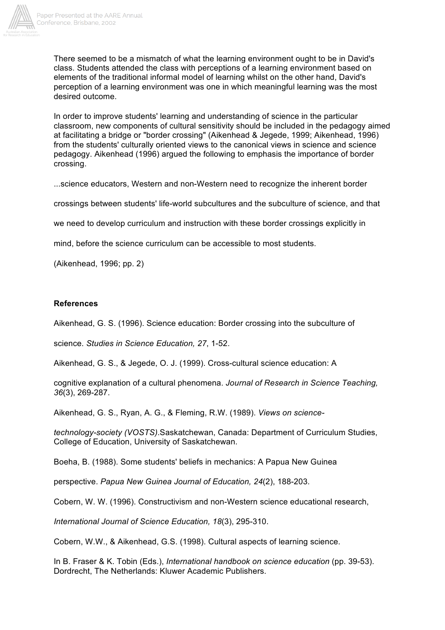

There seemed to be a mismatch of what the learning environment ought to be in David's class. Students attended the class with perceptions of a learning environment based on elements of the traditional informal model of learning whilst on the other hand, David's perception of a learning environment was one in which meaningful learning was the most desired outcome.

In order to improve students' learning and understanding of science in the particular classroom, new components of cultural sensitivity should be included in the pedagogy aimed at facilitating a bridge or "border crossing" (Aikenhead & Jegede, 1999; Aikenhead, 1996) from the students' culturally oriented views to the canonical views in science and science pedagogy. Aikenhead (1996) argued the following to emphasis the importance of border crossing.

...science educators, Western and non-Western need to recognize the inherent border

crossings between students' life-world subcultures and the subculture of science, and that

we need to develop curriculum and instruction with these border crossings explicitly in

mind, before the science curriculum can be accessible to most students.

(Aikenhead, 1996; pp. 2)

#### **References**

Aikenhead, G. S. (1996). Science education: Border crossing into the subculture of

science. *Studies in Science Education, 27*, 1-52.

Aikenhead, G. S., & Jegede, O. J. (1999). Cross-cultural science education: A

cognitive explanation of a cultural phenomena. *Journal of Research in Science Teaching, 36*(3), 269-287.

Aikenhead, G. S., Ryan, A. G., & Fleming, R.W. (1989). *Views on science-*

*technology-society (VOSTS)*.Saskatchewan, Canada: Department of Curriculum Studies, College of Education, University of Saskatchewan.

Boeha, B. (1988). Some students' beliefs in mechanics: A Papua New Guinea

perspective. *Papua New Guinea Journal of Education, 24*(2), 188-203.

Cobern, W. W. (1996). Constructivism and non-Western science educational research,

*International Journal of Science Education, 18*(3), 295-310.

Cobern, W.W., & Aikenhead, G.S. (1998). Cultural aspects of learning science.

In B. Fraser & K. Tobin (Eds.), *International handbook on science education* (pp. 39-53). Dordrecht, The Netherlands: Kluwer Academic Publishers.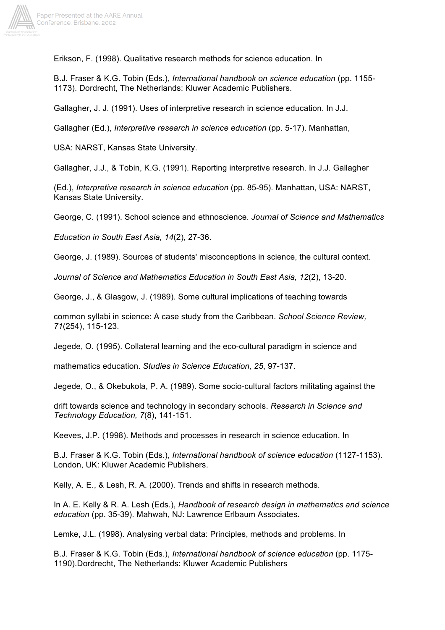

Erikson, F. (1998). Qualitative research methods for science education. In

B.J. Fraser & K.G. Tobin (Eds.), *International handbook on science education* (pp. 1155- 1173). Dordrecht, The Netherlands: Kluwer Academic Publishers.

Gallagher, J. J. (1991). Uses of interpretive research in science education. In J.J.

Gallagher (Ed.), *Interpretive research in science education* (pp. 5-17). Manhattan,

USA: NARST, Kansas State University.

Gallagher, J.J., & Tobin, K.G. (1991). Reporting interpretive research. In J.J. Gallagher

(Ed.), *Interpretive research in science education* (pp. 85-95). Manhattan, USA: NARST, Kansas State University.

George, C. (1991). School science and ethnoscience. *Journal of Science and Mathematics*

*Education in South East Asia, 14*(2), 27-36.

George, J. (1989). Sources of students' misconceptions in science, the cultural context.

*Journal of Science and Mathematics Education in South East Asia, 12*(2), 13-20.

George, J., & Glasgow, J. (1989). Some cultural implications of teaching towards

common syllabi in science: A case study from the Caribbean. *School Science Review, 71*(254), 115-123.

Jegede, O. (1995). Collateral learning and the eco-cultural paradigm in science and

mathematics education. *Studies in Science Education, 25*, 97-137.

Jegede, O., & Okebukola, P. A. (1989). Some socio-cultural factors militating against the

drift towards science and technology in secondary schools. *Research in Science and Technology Education, 7*(8), 141-151.

Keeves, J.P. (1998). Methods and processes in research in science education. In

B.J. Fraser & K.G. Tobin (Eds.), *International handbook of science education* (1127-1153). London, UK: Kluwer Academic Publishers.

Kelly, A. E., & Lesh, R. A. (2000). Trends and shifts in research methods.

In A. E. Kelly & R. A. Lesh (Eds.), *Handbook of research design in mathematics and science education* (pp. 35-39). Mahwah, NJ: Lawrence Erlbaum Associates.

Lemke, J.L. (1998). Analysing verbal data: Principles, methods and problems. In

B.J. Fraser & K.G. Tobin (Eds.), *International handbook of science education* (pp. 1175- 1190).Dordrecht, The Netherlands: Kluwer Academic Publishers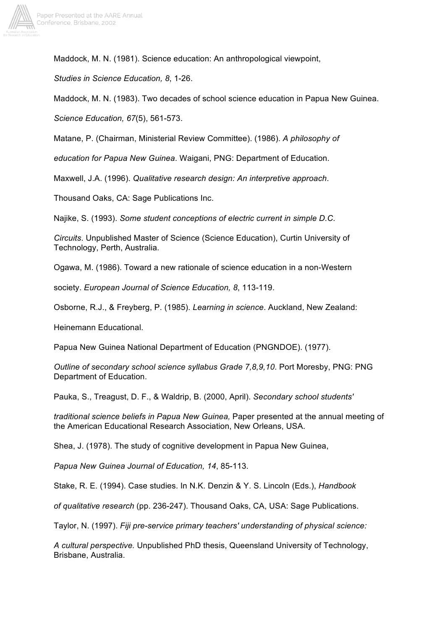

Maddock, M. N. (1981). Science education: An anthropological viewpoint,

*Studies in Science Education, 8*, 1-26.

Maddock, M. N. (1983). Two decades of school science education in Papua New Guinea.

*Science Education, 67*(5), 561-573.

Matane, P. (Chairman, Ministerial Review Committee). (1986). *A philosophy of*

*education for Papua New Guinea*. Waigani, PNG: Department of Education.

Maxwell, J.A. (1996). *Qualitative research design: An interpretive approach*.

Thousand Oaks, CA: Sage Publications Inc.

Najike, S. (1993). *Some student conceptions of electric current in simple D.C.*

*Circuits*. Unpublished Master of Science (Science Education), Curtin University of Technology, Perth, Australia.

Ogawa, M. (1986). Toward a new rationale of science education in a non-Western

society. *European Journal of Science Education, 8*, 113-119.

Osborne, R.J., & Freyberg, P. (1985). *Learning in science*. Auckland, New Zealand:

Heinemann Educational.

Papua New Guinea National Department of Education (PNGNDOE). (1977).

*Outline of secondary school science syllabus Grade 7,8,9,10*. Port Moresby, PNG: PNG Department of Education.

Pauka, S., Treagust, D. F., & Waldrip, B. (2000, April). *Secondary school students'*

*traditional science beliefs in Papua New Guinea,* Paper presented at the annual meeting of the American Educational Research Association, New Orleans, USA.

Shea, J. (1978). The study of cognitive development in Papua New Guinea,

*Papua New Guinea Journal of Education, 14*, 85-113.

Stake, R. E. (1994). Case studies. In N.K. Denzin & Y. S. Lincoln (Eds.), *Handbook*

*of qualitative research* (pp. 236-247). Thousand Oaks, CA, USA: Sage Publications.

Taylor, N. (1997). *Fiji pre-service primary teachers' understanding of physical science:*

*A cultural perspective.* Unpublished PhD thesis, Queensland University of Technology, Brisbane, Australia.